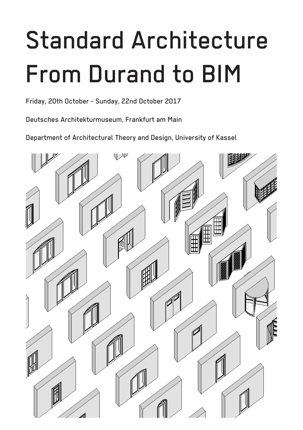# Standard Architecture From Durand to BIM

Friday, 20th October - Sunday, 22nd October 2017

Deutsches Architekturmuseum, Frankfurt am Main

Department of Architectural Theory and Design, University of Kassel

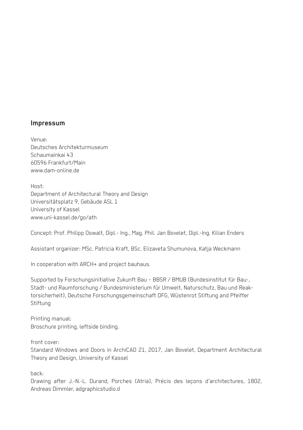#### **Impressum**

Venue: Deutsches Architekturmuseum Schaumainkai 43 60596 Frankfurt/Main www.dam-online.de

Host: Department of Architectural Theory and Design Universitätsplatz 9, Gebäude ASL 1 University of Kassel www.uni-kassel.de/go/ath

Concept: Prof. Philipp Oswalt, Dipl.- Ing., Mag. Phil. Jan Bovelet, Dipl.-Ing. Kilian Enders

Assistant organizer: MSc. Patricia Kraft, BSc. Elizaveta Shumunova, Katja Weckmann

In cooperation with ARCH+ and project bauhaus.

Supported by Forschungsinitiative Zukunft Bau – BBSR / BMUB (Bundesinstitut für Bau-, Stadt- und Raumforschung / Bundesministerium für Umwelt, Naturschutz, Bau und Reaktorsicherheit), Deutsche Forschungsgemeinschaft DFG, Wüstenrot Stiftung and Pfeiffer **Stiftung** 

Printing manual: Broschure printing, leftside binding.

front cover:

Standard Windows and Doors in ArchiCAD 21, 2017, Jan Bovelet, Department Architectural Theory and Design, University of Kassel

back:

Drawing after J.-N.-L. Durand, Porches (Atria), Précis des leçons d'architectures, 1802, Andreas Dimmler, adgraphicstudio.d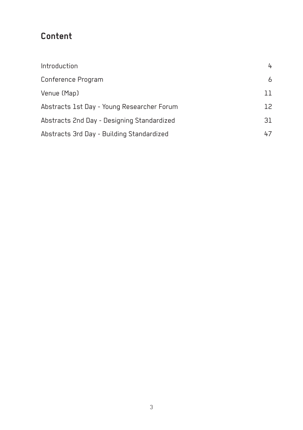# **Content**

| Introduction                               | 4  |
|--------------------------------------------|----|
| Conference Program                         | 6  |
| Venue (Map)                                | 11 |
| Abstracts 1st Day - Young Researcher Forum | 12 |
| Abstracts 2nd Day - Designing Standardized | 31 |
| Abstracts 3rd Day - Building Standardized  | 47 |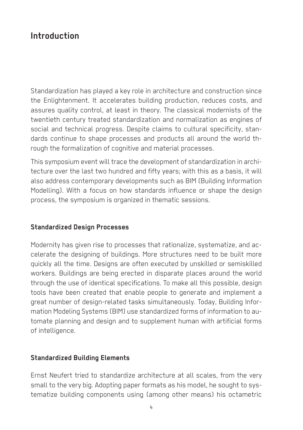# **Introduction**

Standardization has played a key role in architecture and construction since the Enlightenment. It accelerates building production, reduces costs, and assures quality control, at least in theory. The classical modernists of the twentieth century treated standardization and normalization as engines of social and technical progress. Despite claims to cultural specificity, standards continue to shape processes and products all around the world through the formalization of cognitive and material processes.

This symposium event will trace the development of standardization in architecture over the last two hundred and fifty years; with this as a basis, it will also address contemporary developments such as BIM (Building Information Modelling). With a focus on how standards influence or shape the design process, the symposium is organized in thematic sessions.

#### **Standardized Design Processes**

Modernity has given rise to processes that rationalize, systematize, and accelerate the designing of buildings. More structures need to be built more quickly all the time. Designs are often executed by unskilled or semiskilled workers. Buildings are being erected in disparate places around the world through the use of identical specifications. To make all this possible, design tools have been created that enable people to generate and implement a great number of design-related tasks simultaneously. Today, Building Information Modeling Systems (BIM) use standardized forms of information to automate planning and design and to supplement human with artificial forms of intelligence.

#### **Standardized Building Elements**

Ernst Neufert tried to standardize architecture at all scales, from the very small to the very big. Adopting paper formats as his model, he sought to systematize building components using (among other means) his octametric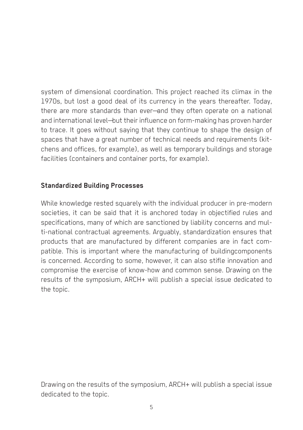system of dimensional coordination. This project reached its climax in the 1970s, but lost a good deal of its currency in the years thereafter. Today, there are more standards than ever—and they often operate on a national and international level—but their influence on form-making has proven harder to trace. It goes without saying that they continue to shape the design of spaces that have a great number of technical needs and requirements (kitchens and offices, for example), as well as temporary buildings and storage facilities (containers and container ports, for example).

#### **Standardized Building Processes**

While knowledge rested squarely with the individual producer in pre-modern societies, it can be said that it is anchored today in objectified rules and specifications, many of which are sanctioned by liability concerns and multi-national contractual agreements. Arguably, standardization ensures that products that are manufactured by different companies are in fact compatible. This is important where the manufacturing of buildingcomponents is concerned. According to some, however, it can also stifle innovation and compromise the exercise of know-how and common sense. Drawing on the results of the symposium, ARCH+ will publish a special issue dedicated to the topic.

Drawing on the results of the symposium, ARCH+ will publish a special issue dedicated to the topic.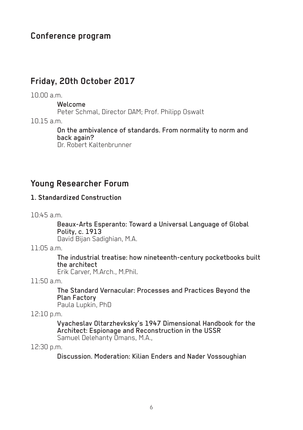## **Conference program**

#### **Friday, 20th October 2017**

#### 10.00 a.m.

Welcome

Peter Schmal, Director DAM; Prof. Philipp Oswalt

10.15 a.m.

On the ambivalence of standards. From normality to norm and back again? Dr. Robert Kaltenbrunner

#### **Young Researcher Forum**

#### **1. Standardized Construction**

10:45 a.m.

Beaux-Arts Esperanto: Toward a Universal Language of Global

David Bijan Sadighian, M.A.

 $11.05$  a.m.

The industrial treatise: how nineteenth-century pocketbooks built the architect

Erik Carver, M.Arch., M.Phil.

 $11:50$  a.m.

The Standard Vernacular: Processes and Practices Beyond the Plan Factory Paula Lupkin, PhD

12:10 p.m.

Vyacheslav Oltarzhevksky's 1947 Dimensional Handbook for the Architect: Espionage and Reconstruction in the USSR Samuel Delehanty Omans, M.A.,

12:30 p.m.

Discussion. Moderation: Kilian Enders and Nader Vossoughian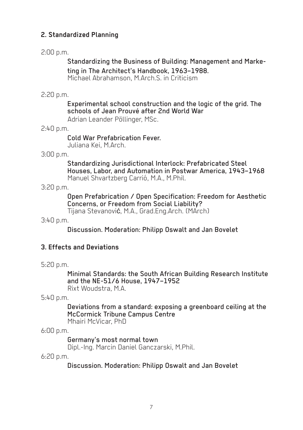#### **2. Standardized Planning**

#### 2:00 p.m.

Standardizing the Business of Building: Management and Marketing in The Architect's Handbook, 1963–1988. Michael Abrahamson, M.Arch.S. in Criticism

#### 2:20 p.m.

Experimental school construction and the logic of the grid. The schools of Jean Prouvé after 2nd World War

Adrian Leander Pöllinger, MSc.

#### 2:40 p.m.

Cold War Prefabrication Fever. Juliana Kei, M.Arch.

#### 3:00 p.m.

Standardizing Jurisdictional Interlock: Prefabricated Steel Houses, Labor, and Automation in Postwar America, 1943–1968 Manuel Shvartzberg Carrió, M.A., M.Phil.

3:20 p.m.

Open Prefabrication / Open Specification: Freedom for Aesthetic Concerns, or Freedom from Social Liability? Tijana Stevanović, M.A., Grad.Eng.Arch. (MArch)

3:40 p.m.

Discussion. Moderation: Philipp Oswalt and Jan Bovelet

#### **3. Effects and Deviations**

5:20 p.m.

Minimal Standards: the South African Building Research Institute and the NE-51/6 House, 1947–1952 Rixt Woudstra, M.A.

5:40 p.m.

Deviations from a standard: exposing a greenboard ceiling at the McCormick Tribune Campus Centre Mhairi McVicar, PhD

6:00 p.m.

Germany's most normal town Dipl.-Ing. Marcin Daniel Ganczarski, M.Phil.

6:20 p.m.

Discussion. Moderation: Philipp Oswalt and Jan Bovelet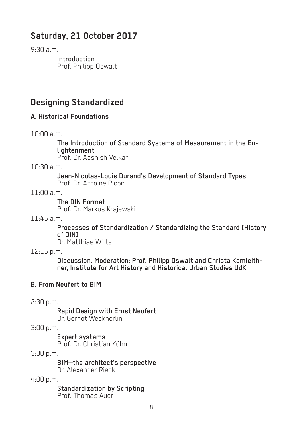# **Saturday, 21 October 2017**

 $9.30 \text{ a m}$ 

Introduction Prof. Philipp Oswalt

# **Designing Standardized**

#### **A. Historical Foundations**

10:00 a.m.

The Introduction of Standard Systems of Measurement in the En- lightenment

Prof. Dr. Aashish Velkar

10:30 a.m.

Jean-Nicolas-Louis Durand's Development of Standard Types Prof. Dr. Antoine Picon

 $11 \cdot 00$  a.m.

The DIN Format Prof. Dr. Markus Krajewski

11:45 a.m.

Processes of Standardization / Standardizing the Standard (History of DIN) Dr. Matthias Witte

- 
- 12:15 p.m.

Discussion. Moderation: Prof. Philipp Oswalt and Christa Kamleith- ner, Institute for Art History and Historical Urban Studies UdK

#### **B. From Neufert to BIM**

2:30 p.m.

Rapid Design with Ernst Neufert Dr. Gernot Weckherlin

3:00 p.m.

Expert systems Prof. Dr. Christian Kühn

3:30 p.m.

BIM—the architect's perspective Dr. Alexander Rieck

4:00 p.m.

Standardization by Scripting Prof. Thomas Auer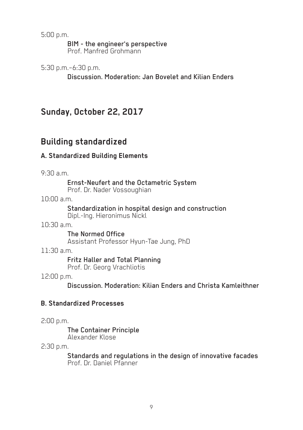5:00 p.m.

BIM - the engineer's perspective

Prof. Manfred Grohmann

5:30 p.m.–6:30 p.m.

Discussion. Moderation: Jan Bovelet and Kilian Enders

# **Sunday, October 22, 2017**

# **Building standardized**

#### **A. Standardized Building Elements**

 $9.30 \text{ a m}$ 

Ernst-Neufert and the Octametric System Prof. Dr. Nader Vossoughian

10:00 a.m.

Standardization in hospital design and construction Dipl.-Ing. Hieronimus Nickl

10:30 a.m.

The Normed Office Assistant Professor Hyun-Tae Jung, PhD

11:30 a.m.

Fritz Haller and Total Planning Prof. Dr. Georg Vrachliotis

12:00 p.m.

Discussion. Moderation: Kilian Enders and Christa Kamleithner

#### **B. Standardized Processes**

2:00 p.m.

The Container Principle Alexander Klose

2:30 p.m.

Standards and regulations in the design of innovative facades Prof. Dr. Daniel Pfanner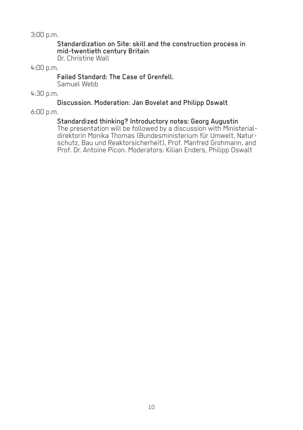3:00 p.m.

Standardization on Site: skill and the construction process in mid-twentieth century Britain

Dr. Christine Wall

#### 4:00 p.m.

#### Failed Standard: The Case of Grenfell.

Samuel Webb

4:30 p.m.

#### Discussion. Moderation: Jan Bovelet and Philipp Oswalt

6:00 p.m.

Standardized thinking? Introductory notes: Georg Augustin<br>The presentation will be followed by a discussion with Ministerialdirektorin Monika Thomas (Bundesministerium für Umwelt, Natur- schutz, Bau und Reaktorsicherheit), Prof. Manfred Grohmann, and Prof. Dr. Antoine Picon. Moderators: Kilian Enders, Philipp Oswalt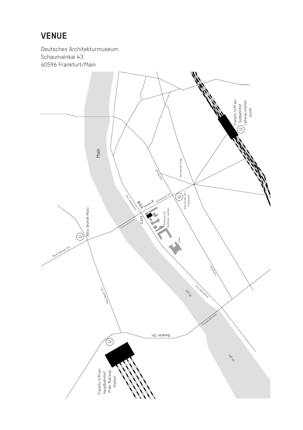# **VENUE**

Deutsches Architekturmuseum Schaumainkai 43 60596 Frankfurt/Main

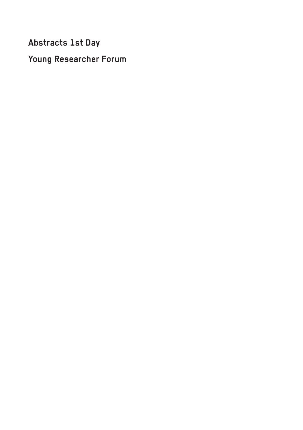**Abstracts 1st Day** 

**Young Researcher Forum**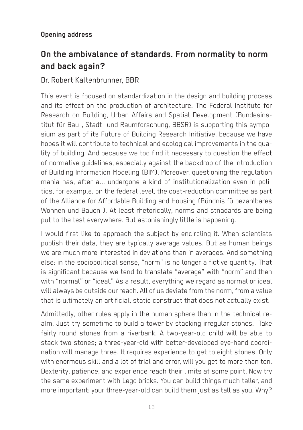#### **Opening address**

# **On the ambivalance of standards. From normality to norm and back again?**

#### Dr. Robert Kaltenbrunner, BBR

This event is focused on standardization in the design and building process and its effect on the production of architecture. The Federal Institute for Research on Building, Urban Affairs and Spatial Development (Bundesinstitut für Bau-, Stadt- und Raumforschung, BBSR) is supporting this symposium as part of its Future of Building Research Initiative, because we have hopes it will contribute to technical and ecological improvements in the quality of building. And because we too find it necessary to question the effect of normative guidelines, especially against the backdrop of the introduction of Building Information Modeling (BIM). Moreover, questioning the regulation mania has, after all, undergone a kind of institutionalization even in politics, for example, on the federal level, the cost-reduction committee as part of the Alliance for Affordable Building and Housing (Bündnis fü bezahlbares Wohnen und Bauen ). At least rhetorically, norms and stnadards are being put to the test everywhere. But astonishingly little is happening.

I would first like to approach the subject by encircling it. When scientists publish their data, they are typically average values. But as human beings we are much more interested in deviations than in averages. And something else: in the sociopolitical sense, "norm" is no longer a fictive quantity. That is significant because we tend to translate "average" with "norm" and then with "normal" or "ideal." As a result, everything we regard as normal or ideal will always be outside our reach. All of us deviate from the norm, from a value that is ultimately an artificial, static construct that does not actually exist.

Admittedly, other rules apply in the human sphere than in the technical realm. Just try sometime to build a tower by stacking irregular stones. Take fairly round stones from a riverbank. A two-year-old child will be able to stack two stones; a three-year-old with better-developed eye-hand coordination will manage three. It requires experience to get to eight stones. Only with enormous skill and a lot of trial and error, will you get to more than ten. Dexterity, patience, and experience reach their limits at some point. Now try the same experiment with Lego bricks. You can build things much taller, and more important: your three-year-old can build them just as tall as you. Why?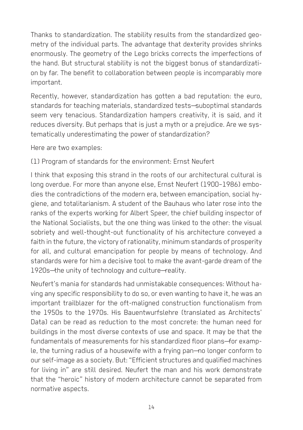Thanks to standardization. The stability results from the standardized geometry of the individual parts. The advantage that dexterity provides shrinks enormously. The geometry of the Lego bricks corrects the imperfections of the hand. But structural stability is not the biggest bonus of standardization by far. The benefit to collaboration between people is incomparably more important.

Recently, however, standardization has gotten a bad reputation: the euro, standards for teaching materials, standardized tests—suboptimal standards seem very tenacious. Standardization hampers creativity, it is said, and it reduces diversity. But perhaps that is just a myth or a prejudice. Are we systematically underestimating the power of standardization?

Here are two examples:

(1) Program of standards for the environment: Ernst Neufert

I think that exposing this strand in the roots of our architectural cultural is long overdue. For more than anyone else, Ernst Neufert (1900–1986) embodies the contradictions of the modern era, between emancipation, social hygiene, and totalitarianism. A student of the Bauhaus who later rose into the ranks of the experts working for Albert Speer, the chief building inspector of the National Socialists, but the one thing was linked to the other: the visual sobriety and well-thought-out functionality of his architecture conveyed a faith in the future, the victory of rationality, minimum standards of prosperity for all, and cultural emancipation for people by means of technology. And standards were for him a decisive tool to make the avant-garde dream of the 1920s—the unity of technology and culture—reality.

Neufert's mania for standards had unmistakable consequences: Without having any specific responsibility to do so, or even wanting to have it, he was an important trailblazer for the oft-maligned construction functionalism from the 1950s to the 1970s. His Bauentwurfslehre (translated as Architects' Data) can be read as reduction to the most concrete: the human need for buildings in the most diverse contexts of use and space. It may be that the fundamentals of measurements for his standardized floor plans—for example, the turning radius of a housewife with a frying pan—no longer conform to our self-image as a society. But: "Efficient structures and qualified machines for living in" are still desired. Neufert the man and his work demonstrate that the "heroic" history of modern architecture cannot be separated from normative aspects.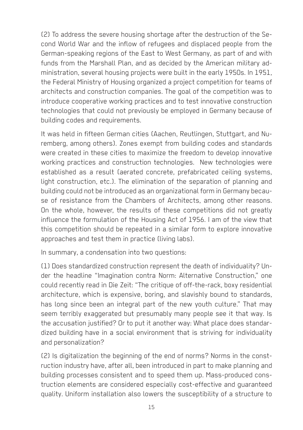(2) To address the severe housing shortage after the destruction of the Second World War and the inflow of refugees and displaced people from the German-speaking regions of the East to West Germany, as part of and with funds from the Marshall Plan, and as decided by the American military administration, several housing projects were built in the early 1950s. In 1951, the Federal Ministry of Housing organized a project competition for teams of architects and construction companies. The goal of the competition was to introduce cooperative working practices and to test innovative construction technologies that could not previously be employed in Germany because of building codes and requirements.

It was held in fifteen German cities (Aachen, Reutlingen, Stuttgart, and Nuremberg, among others). Zones exempt from building codes and standards were created in these cities to maximize the freedom to develop innovative working practices and construction technologies. New technologies were established as a result (aerated concrete, prefabricated ceiling systems, light construction, etc.). The elimination of the separation of planning and building could not be introduced as an organizational form in Germany because of resistance from the Chambers of Architects, among other reasons. On the whole, however, the results of these competitions did not greatly influence the formulation of the Housing Act of 1956. I am of the view that this competition should be repeated in a similar form to explore innovative approaches and test them in practice (living labs).

In summary, a condensation into two questions:

(1) Does standardized construction represent the death of individuality? Under the headline "Imagination contra Norm: Alternative Construction," one could recently read in Die Zeit: "The critique of off-the-rack, boxy residential architecture, which is expensive, boring, and slavishly bound to standards, has long since been an integral part of the new youth culture." That may seem terribly exaggerated but presumably many people see it that way. Is the accusation justified? Or to put it another way: What place does standardized building have in a social environment that is striving for individuality and personalization?

(2) Is digitalization the beginning of the end of norms? Norms in the construction industry have, after all, been introduced in part to make planning and building processes consistent and to speed them up. Mass-produced construction elements are considered especially cost-effective and guaranteed quality. Uniform installation also lowers the susceptibility of a structure to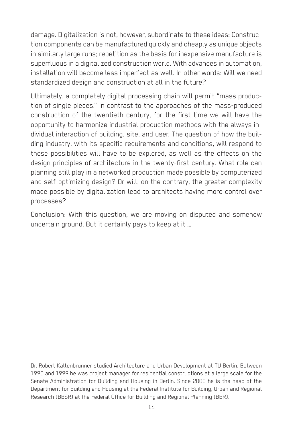damage. Digitalization is not, however, subordinate to these ideas: Construction components can be manufactured quickly and cheaply as unique objects in similarly large runs; repetition as the basis for inexpensive manufacture is superfluous in a digitalized construction world. With advances in automation, installation will become less imperfect as well. In other words: Will we need standardized design and construction at all in the future?

Ultimately, a completely digital processing chain will permit "mass production of single pieces." In contrast to the approaches of the mass-produced construction of the twentieth century, for the first time we will have the opportunity to harmonize industrial production methods with the always individual interaction of building, site, and user. The question of how the building industry, with its specific requirements and conditions, will respond to these possibilities will have to be explored, as well as the effects on the design principles of architecture in the twenty-first century. What role can planning still play in a networked production made possible by computerized and self-optimizing design? Or will, on the contrary, the greater complexity made possible by digitalization lead to architects having more control over processes?

Conclusion: With this question, we are moving on disputed and somehow uncertain ground. But it certainly pays to keep at it …

Dr. Robert Kaltenbrunner studied Architecture and Urban Development at TU Berlin. Between 1990 and 1999 he was project manager for residential constructions at a large scale for the Senate Administration for Building and Housing in Berlin. Since 2000 he is the head of the Department for Building and Housing at the Federal Institute for Building, Urban and Regional Research (BBSR) at the Federal Office for Building and Regional Planning (BBR).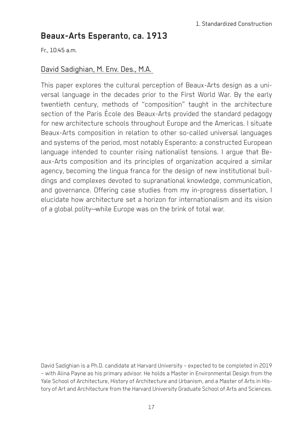# **Beaux-Arts Esperanto, ca. 1913**

 $Fr. 10:45 a.m.$ 

#### David Sadighian, M. Env. Des., M.A.

This paper explores the cultural perception of Beaux-Arts design as a universal language in the decades prior to the First World War. By the early twentieth century, methods of "composition" taught in the architecture section of the Paris École des Beaux-Arts provided the standard pedagogy for new architecture schools throughout Europe and the Americas. I situate Beaux-Arts composition in relation to other so-called universal languages and systems of the period, most notably Esperanto: a constructed European language intended to counter rising nationalist tensions. I argue that Beaux-Arts composition and its principles of organization acquired a similar agency, becoming the lingua franca for the design of new institutional buildings and complexes devoted to supranational knowledge, communication, and governance. Offering case studies from my in-progress dissertation, I elucidate how architecture set a horizon for internationalism and its vision of a global polity—while Europe was on the brink of total war.

David Sadighian is a Ph.D. candidate at Harvard University – expected to be completed in 2019 – with Alina Payne as his primary advisor. He holds a Master in Environmental Design from the Yale School of Architecture, History of Architecture and Urbanism, and a Master of Arts in History of Art and Architecture from the Harvard University Graduate School of Arts and Sciences.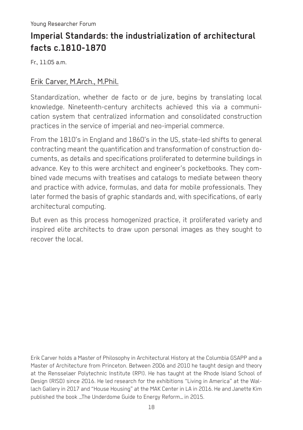# **Imperial Standards: the industrialization of architectural facts c.1810-1870**

Fr., 11:05 a.m.

#### Erik Carver, M.Arch., M.Phil.

Standardization, whether de facto or de jure, begins by translating local knowledge. Nineteenth-century architects achieved this via a communication system that centralized information and consolidated construction practices in the service of imperial and neo-imperial commerce.

From the 1810's in England and 1860's in the US, state-led shifts to general contracting meant the quantification and transformation of construction documents, as details and specifications proliferated to determine buildings in advance. Key to this were architect and engineer's pocketbooks. They combined vade mecums with treatises and catalogs to mediate between theory and practice with advice, formulas, and data for mobile professionals. They later formed the basis of graphic standards and, with specifications, of early architectural computing.

But even as this process homogenized practice, it proliferated variety and inspired elite architects to draw upon personal images as they sought to recover the local.

Erik Carver holds a Master of Philosophy in Architectural History at the Columbia GSAPP and a Master of Architecture from Princeton. Between 2006 and 2010 he taught design and theory at the Rensselaer Polytechnic Institute (RPI). He has taught at the Rhode Island School of Design (RISD) since 2016. He led research for the exhibitions "Living in America" at the Wallach Gallery in 2017 and "House Housing" at the MAK Center in LA in 2016. He and Janette Kim published the book \_The Underdome Guide to Energy Reform\_ in 2015.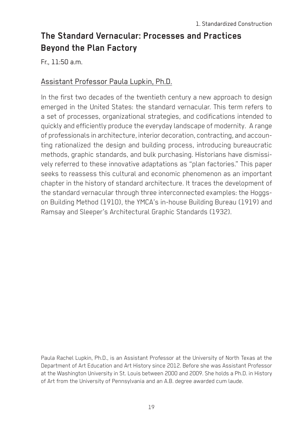# **The Standard Vernacular: Processes and Practices Beyond the Plan Factory**

Fr., 11:50 a.m.

#### Assistant Professor Paula Lupkin, Ph.D.

In the first two decades of the twentieth century a new approach to design emerged in the United States: the standard vernacular. This term refers to a set of processes, organizational strategies, and codifications intended to quickly and efficiently produce the everyday landscape of modernity. A range of professionals in architecture, interior decoration, contracting, and accounting rationalized the design and building process, introducing bureaucratic methods, graphic standards, and bulk purchasing. Historians have dismissively referred to these innovative adaptations as "plan factories." This paper seeks to reassess this cultural and economic phenomenon as an important chapter in the history of standard architecture. It traces the development of the standard vernacular through three interconnected examples: the Hoggson Building Method (1910), the YMCA's in-house Building Bureau (1919) and Ramsay and Sleeper's Architectural Graphic Standards (1932).

Paula Rachel Lupkin, Ph.D., is an Assistant Professor at the University of North Texas at the Department of Art Education and Art History since 2012. Before she was Assistant Professor at the Washington University in St. Louis between 2000 and 2009. She holds a Ph.D. in History of Art from the University of Pennsylvania and an A.B. degree awarded cum laude.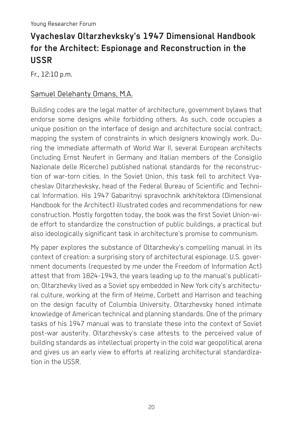# **Vyacheslav Oltarzhevksky's 1947 Dimensional Handbook for the Architect: Espionage and Reconstruction in the USSR**

Fr., 12:10 p.m.

#### Samuel Delehanty Omans, M.A.

Building codes are the legal matter of architecture, government bylaws that endorse some designs while forbidding others. As such, code occupies a unique position on the interface of design and architecture social contract; mapping the system of constraints in which designers knowingly work. During the immediate aftermath of World War II, several European architects (including Ernst Neufert in Germany and Italian members of the Consiglio Nazionale delle Ricerche) published national standards for the reconstruction of war-torn cities. In the Soviet Union, this task fell to architect Vyacheslav Oltarzhevksky, head of the Federal Bureau of Scientific and Technical Information. His 1947 Gabaritnyi spravochnik arkhitektora (Dimensional Handbook for the Architect) illustrated codes and recommendations for new construction. Mostly forgotten today, the book was the first Soviet Union-wide effort to standardize the construction of public buildings, a practical but also ideologically significant task in architecture's promise to communism.

My paper explores the substance of Oltarzhevky's compelling manual in its context of creation: a surprising story of architectural espionage. U.S. government documents (requested by me under the Freedom of Information Act) attest that from 1824-1943, the years leading up to the manual's publication, Oltarzhevky lived as a Soviet spy embedded in New York city's architectural culture, working at the firm of Helme, Corbett and Harrison and teaching on the design faculty of Columbia University. Oltarzhevsky honed intimate knowledge of American technical and planning standards. One of the primary tasks of his 1947 manual was to translate these into the context of Soviet post-war austerity. Oltarzhevsky's case attests to the perceived value of building standards as intellectual property in the cold war geopolitical arena and gives us an early view to efforts at realizing architectural standardization in the USSR.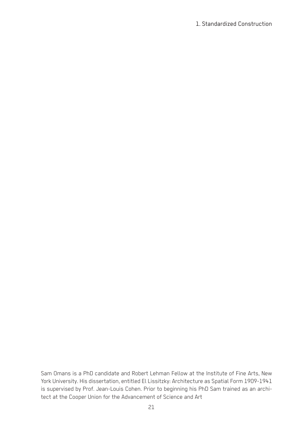#### 1. Standardized Construction

Sam Omans is a PhD candidate and Robert Lehman Fellow at the Institute of Fine Arts, New York University. His dissertation, entitled El Lissitzky: Architecture as Spatial Form 1909-1941 is supervised by Prof. Jean-Louis Cohen. Prior to beginning his PhD Sam trained as an architect at the Cooper Union for the Advancement of Science and Art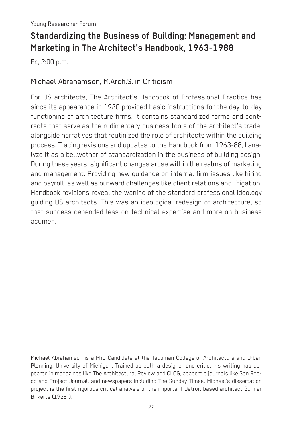# **Standardizing the Business of Building: Management and Marketing in The Architect's Handbook, 1963-1988**

Fr., 2:00 p.m.

#### Michael Abrahamson, M.Arch.S. in Criticism

For US architects, The Architect's Handbook of Professional Practice has since its appearance in 1920 provided basic instructions for the day-to-day functioning of architecture firms. It contains standardized forms and contracts that serve as the rudimentary business tools of the architect's trade, alongside narratives that routinized the role of architects within the building process. Tracing revisions and updates to the Handbook from 1963-88, I analyze it as a bellwether of standardization in the business of building design. During these years, significant changes arose within the realms of marketing and management. Providing new guidance on internal firm issues like hiring and payroll, as well as outward challenges like client relations and litigation, Handbook revisions reveal the waning of the standard professional ideology guiding US architects. This was an ideological redesign of architecture, so that success depended less on technical expertise and more on business acumen.

Michael Abrahamson is a PhD Candidate at the Taubman College of Architecture and Urban Planning, University of Michigan. Trained as both a designer and critic, his writing has appeared in magazines like The Architectural Review and CLOG, academic journals like San Rocco and Project Journal, and newspapers including The Sunday Times. Michael's dissertation project is the first rigorous critical analysis of the important Detroit based architect Gunnar Birkerts (1925-).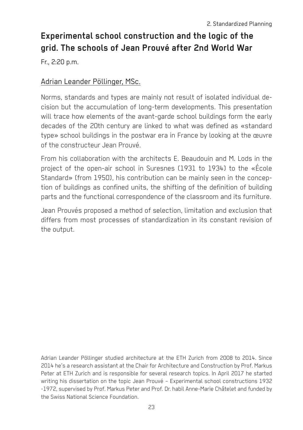# **Experimental school construction and the logic of the grid. The schools of Jean Prouvé after 2nd World War**

Fr., 2:20 p.m.

#### Adrian Leander Pöllinger, MSc.

Norms, standards and types are mainly not result of isolated individual decision but the accumulation of long-term developments. This presentation will trace how elements of the avant-garde school buildings form the early decades of the 20th century are linked to what was defined as «standard type» school buildings in the postwar era in France by looking at the œuvre of the constructeur Jean Prouvé.

From his collaboration with the architects E. Beaudouin and M. Lods in the project of the open-air school in Suresnes (1931 to 1934) to the «École Standard» (from 1950), his contribution can be mainly seen in the conception of buildings as confined units, the shifting of the definition of building parts and the functional correspondence of the classroom and its furniture.

Jean Prouvés proposed a method of selection, limitation and exclusion that differs from most processes of standardization in its constant revision of the output.

Adrian Leander Pöllinger studied architecture at the ETH Zurich from 2008 to 2014. Since 2014 he's a research assistant at the Chair for Architecture and Construction by Prof. Markus Peter at ETH Zurich and is responsible for several research topics. In April 2017 he started writing his dissertation on the topic Jean Prouvé – Experimental school constructions 1932 -1972, supervised by Prof. Markus Peter and Prof. Dr. habil Anne-Marie Châtelet and funded by the Swiss National Science Foundation.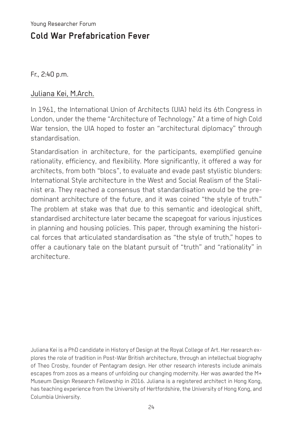# **Cold War Prefabrication Fever**

Fr., 2:40 p.m.

#### Juliana Kei, M.Arch.

In 1961, the International Union of Architects (UIA) held its 6th Congress in London, under the theme "Architecture of Technology." At a time of high Cold War tension, the UIA hoped to foster an "architectural diplomacy" through standardisation.

Standardisation in architecture, for the participants, exemplified genuine rationality, efficiency, and flexibility. More significantly, it offered a way for architects, from both "blocs", to evaluate and evade past stylistic blunders: International Style architecture in the West and Social Realism of the Stalinist era. They reached a consensus that standardisation would be the predominant architecture of the future, and it was coined "the style of truth." The problem at stake was that due to this semantic and ideological shift, standardised architecture later became the scapegoat for various injustices in planning and housing policies. This paper, through examining the historical forces that articulated standardisation as "the style of truth," hopes to offer a cautionary tale on the blatant pursuit of "truth" and "rationality" in architecture.

Juliana Kei is a PhD candidate in History of Design at the Royal College of Art. Her research explores the role of tradition in Post-War British architecture, through an intellectual biography of Theo Crosby, founder of Pentagram design. Her other research interests include animals escapes from zoos as a means of unfolding our changing modernity. Her was awarded the M+ Museum Design Research Fellowship in 2016. Juliana is a registered architect in Hong Kong, has teaching experience from the University of Hertfordshire, the University of Hong Kong, and Columbia University.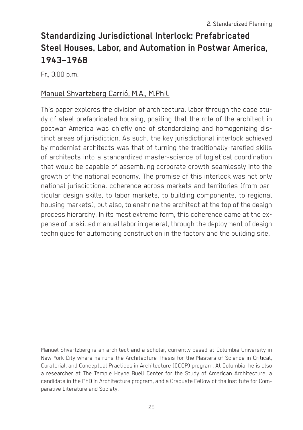# **Standardizing Jurisdictional Interlock: Prefabricated Steel Houses, Labor, and Automation in Postwar America, 1943–1968**

Fr., 3:00 p.m.

#### Manuel Shvartzberg Carrió, M.A., M.Phil.

This paper explores the division of architectural labor through the case study of steel prefabricated housing, positing that the role of the architect in postwar America was chiefly one of standardizing and homogenizing distinct areas of jurisdiction. As such, the key jurisdictional interlock achieved by modernist architects was that of turning the traditionally-rarefied skills of architects into a standardized master-science of logistical coordination that would be capable of assembling corporate growth seamlessly into the growth of the national economy. The promise of this interlock was not only national jurisdictional coherence across markets and territories (from particular design skills, to labor markets, to building components, to regional housing markets), but also, to enshrine the architect at the top of the design process hierarchy. In its most extreme form, this coherence came at the expense of unskilled manual labor in general, through the deployment of design techniques for automating construction in the factory and the building site.

Manuel Shvartzberg is an architect and a scholar, currently based at Columbia University in New York City where he runs the Architecture Thesis for the Masters of Science in Critical, Curatorial, and Conceptual Practices in Architecture (CCCP) program. At Columbia, he is also a researcher at The Temple Hoyne Buell Center for the Study of American Architecture, a candidate in the PhD in Architecture program, and a Graduate Fellow of the Institute for Comparative Literature and Society.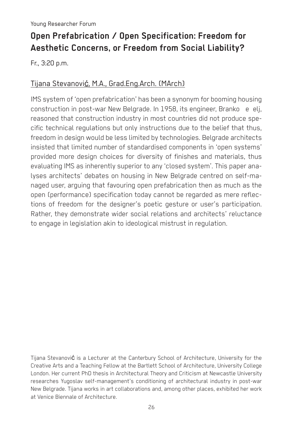# **Open Prefabrication / Open Specification: Freedom for Aesthetic Concerns, or Freedom from Social Liability?**

Fr., 3:20 p.m.

#### Tijana Stevanović, M.A., Grad.Eng.Arch. (MArch)

IMS system of 'open prefabrication' has been a synonym for booming housing construction in post-war New Belgrade. In 1958, its engineer, Branko e elj, reasoned that construction industry in most countries did not produce specific technical regulations but only instructions due to the belief that thus, freedom in design would be less limited by technologies. Belgrade architects insisted that limited number of standardised components in 'open systems' provided more design choices for diversity of finishes and materials, thus evaluating IMS as inherently superior to any 'closed system'. This paper analyses architects' debates on housing in New Belgrade centred on self-managed user, arguing that favouring open prefabrication then as much as the open (performance) specification today cannot be regarded as mere reflections of freedom for the designer's poetic gesture or user's participation. Rather, they demonstrate wider social relations and architects' reluctance to engage in legislation akin to ideological mistrust in regulation.

Tijana Stevanović is a Lecturer at the Canterbury School of Architecture, University for the Creative Arts and a Teaching Fellow at the Bartlett School of Architecture, University College London. Her current PhD thesis in Architectural Theory and Criticism at Newcastle University researches Yugoslav self-management's conditioning of architectural industry in post-war New Belgrade. Tijana works in art collaborations and, among other places, exhibited her work at Venice Biennale of Architecture.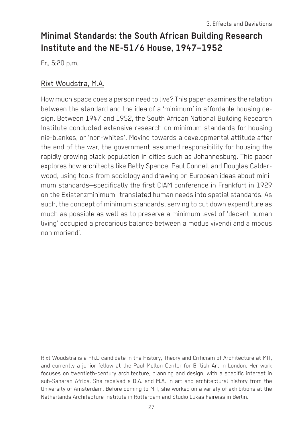# **Minimal Standards: the South African Building Research Institute and the NE-51/6 House, 1947–1952**

Fr., 5:20 p.m.

#### Rixt Woudstra, M.A.

How much space does a person need to live? This paper examines the relation between the standard and the idea of a 'minimum' in affordable housing design. Between 1947 and 1952, the South African National Building Research Institute conducted extensive research on minimum standards for housing nie-blankes, or 'non-whites'. Moving towards a developmental attitude after the end of the war, the government assumed responsibility for housing the rapidly growing black population in cities such as Johannesburg. This paper explores how architects like Betty Spence, Paul Connell and Douglas Calderwood, using tools from sociology and drawing on European ideas about minimum standards—specifically the first CIAM conference in Frankfurt in 1929 on the Existenzminimum—translated human needs into spatial standards. As such, the concept of minimum standards, serving to cut down expenditure as much as possible as well as to preserve a minimum level of 'decent human living' occupied a precarious balance between a modus vivendi and a modus non moriendi.

Rixt Woudstra is a Ph.D candidate in the History, Theory and Criticism of Architecture at MIT, and currently a junior fellow at the Paul Mellon Center for British Art in London. Her work focuses on twentieth-century architecture, planning and design, with a specific interest in sub-Saharan Africa. She received a B.A. and M.A. in art and architectural history from the University of Amsterdam. Before coming to MIT, she worked on a variety of exhibitions at the Netherlands Architecture Institute in Rotterdam and Studio Lukas Feireiss in Berlin.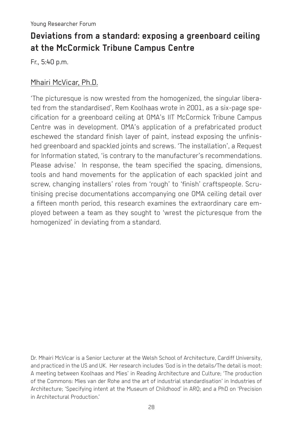# **Deviations from a standard: exposing a greenboard ceiling at the McCormick Tribune Campus Centre**

Fr., 5:40 p.m.

#### Mhairi McVicar, Ph.D.

'The picturesque is now wrested from the homogenized, the singular liberated from the standardised', Rem Koolhaas wrote in 2001, as a six-page specification for a greenboard ceiling at OMA's IIT McCormick Tribune Campus Centre was in development. OMA's application of a prefabricated product eschewed the standard finish layer of paint, instead exposing the unfinished greenboard and spackled joints and screws. 'The installation', a Request for Information stated, 'is contrary to the manufacturer's recommendations. Please advise.' In response, the team specified the spacing, dimensions, tools and hand movements for the application of each spackled joint and screw, changing installers' roles from 'rough' to 'finish' craftspeople. Scrutinising precise documentations accompanying one OMA ceiling detail over a fifteen month period, this research examines the extraordinary care employed between a team as they sought to 'wrest the picturesque from the homogenized' in deviating from a standard.

Dr. Mhairi McVicar is a Senior Lecturer at the Welsh School of Architecture, Cardiff University, and practiced in the US and UK. Her research includes 'God is in the details/The detail is moot: A meeting between Koolhaas and Mies' in Reading Architecture and Culture; 'The production of the Commons: Mies van der Rohe and the art of industrial standardisation' in Industries of Architecture; 'Specifying intent at the Museum of Childhood' in ARQ; and a PhD on 'Precision in Architectural Production.'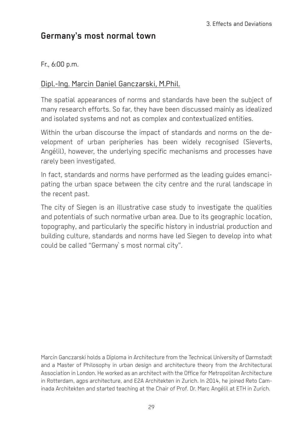# **Germany's most normal town**

#### Fr., 6:00 p.m.

#### Dipl.-Ing. Marcin Daniel Ganczarski, M.Phil.

The spatial appearances of norms and standards have been the subject of many research efforts. So far, they have been discussed mainly as idealized and isolated systems and not as complex and contextualized entities.

Within the urban discourse the impact of standards and norms on the development of urban peripheries has been widely recognised (Sieverts, Angélil), however, the underlying specific mechanisms and processes have rarely been investigated.

In fact, standards and norms have performed as the leading guides emancipating the urban space between the city centre and the rural landscape in the recent past.

The city of Siegen is an illustrative case study to investigate the qualities and potentials of such normative urban area. Due to its geographic location, topography, and particularly the specific history in industrial production and building culture, standards and norms have led Siegen to develop into what could be called "Germany`s most normal city".

Marcin Ganczarski holds a Diploma in Architecture from the Technical University of Darmstadt and a Master of Philosophy in urban design and architecture theory from the Architectural Association in London. He worked as an architect with the Office for Metropolitan Architecture in Rotterdam, agps architecture, and E2A Architekten in Zurich. In 2014, he joined Reto Caminada Architekten and started teaching at the Chair of Prof. Dr. Marc Angélil at ETH in Zurich.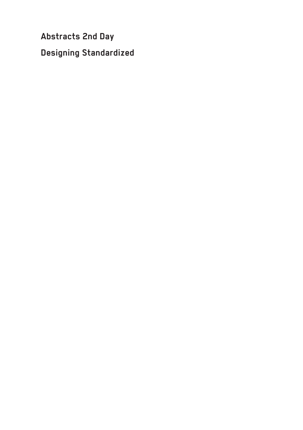**Abstracts 2nd Day Designing Standardized**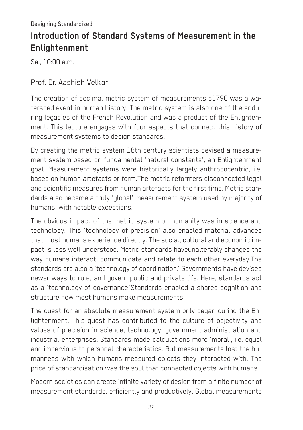# **Introduction of Standard Systems of Measurement in the Enlightenment**

Sa., 10:00 a.m.

#### Prof. Dr. Aashish Velkar

The creation of decimal metric system of measurements c1790 was a watershed event in human history. The metric system is also one of the enduring legacies of the French Revolution and was a product of the Enlightenment. This lecture engages with four aspects that connect this history of measurement systems to design standards.

By creating the metric system 18th century scientists devised a measurement system based on fundamental 'natural constants', an Enlightenment goal. Measurement systems were historically largely anthropocentric, i.e. based on human artefacts or form.The metric reformers disconnected legal and scientific measures from human artefacts for the first time. Metric standards also became a truly 'global' measurement system used by majority of humans, with notable exceptions.

The obvious impact of the metric system on humanity was in science and technology. This 'technology of precision' also enabled material advances that most humans experience directly. The social, cultural and economic impact is less well understood. Metric standards haveunalterably changed the way humans interact, communicate and relate to each other everyday.The standards are also a 'technology of coordination.' Governments have devised newer ways to rule, and govern public and private life. Here, standards act as a 'technology of governance.'Standards enabled a shared cognition and structure how most humans make measurements.

The quest for an absolute measurement system only began during the Enlightenment. This quest has contributed to the culture of objectivity and values of precision in science, technology, government administration and industrial enterprises. Standards made calculations more 'moral', i.e. equal and impervious to personal characteristics. But measurements lost the humanness with which humans measured objects they interacted with. The price of standardisation was the soul that connected objects with humans.

Modern societies can create infinite variety of design from a finite number of measurement standards, efficiently and productively. Global measurements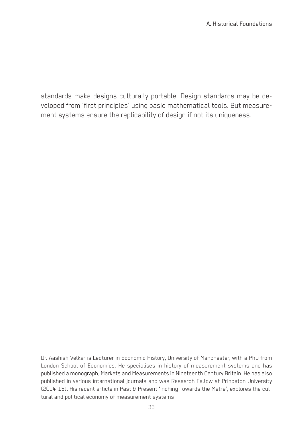standards make designs culturally portable. Design standards may be developed from 'first principles' using basic mathematical tools. But measurement systems ensure the replicability of design if not its uniqueness.

Dr. Aashish Velkar is Lecturer in Economic History, University of Manchester, with a PhD from London School of Economics. He specialises in history of measurement systems and has published a monograph, Markets and Measurements in Nineteenth Century Britain. He has also published in various international journals and was Research Fellow at Princeton University (2014-15). His recent article in Past & Present 'Inching Towards the Metre', explores the cultural and political economy of measurement systems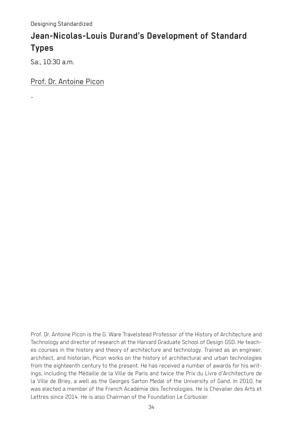# **Jean-Nicolas-Louis Durand's Development of Standard Types**

Sa., 10:30 a.m.

-

Prof. Dr. Antoine Picon

Prof. Dr. Antoine Picon is the G. Ware Travelstead Professor of the History of Architecture and Technology and director of research at the Harvard Graduate School of Design GSD. He teaches courses in the history and theory of architecture and technology. Trained as an engineer, architect, and historian, Picon works on the history of architectural and urban technologies from the eighteenth century to the present. He has received a number of awards for his writings, including the Médaille de la Ville de Paris and twice the Prix du Livre d'Architecture de la Ville de Briey, a well as the Georges Sarton Medal of the University of Gand. In 2010, he was elected a member of the French Académie des Technologies. He is Chevalier des Arts et Lettres since 2014. He is also Chairman of the Foundation Le Corbusier.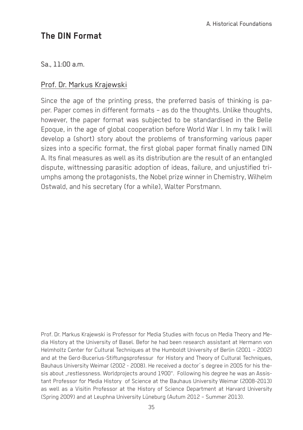# **The DIN Format**

Sa., 11:00 a.m.

#### Prof. Dr. Markus Krajewski

Since the age of the printing press, the preferred basis of thinking is paper. Paper comes in different formats – as do the thoughts. Unlike thoughts, however, the paper format was subjected to be standardised in the Belle Epoque, in the age of global cooperation before World War I. In my talk I will develop a (short) story about the problems of transforming various paper sizes into a specific format, the first global paper format finally named DIN A. Its final measures as well as its distribution are the result of an entangled dispute, wittnessing parasitic adoption of ideas, failure, and unjustified triumphs among the protagonists, the Nobel prize winner in Chemistry, Wilhelm Ostwald, and his secretary (for a while), Walter Porstmann.

Prof. Dr. Markus Krajewski is Professor for Media Studies with focus on Media Theory and Media History at the University of Basel. Befor he had been research assistant at Hermann von Helmholtz Center for Cultural Techniques at the Humboldt University of Berlin (2001 – 2002) and at the Gerd-Bucerius-Stiftungsprofessur for History and Theory of Cultural Techniques, Bauhaus University Weimar (2002 - 2008). He received a doctor´s degree in 2005 for his thesis about "restlessness. Worldprojects around 1900". Following his degree he was an Assistant Professor for Media History of Science at the Bauhaus University Weimar (2008-2013) as well as a Visitin Professor at the History of Science Department at Harvard University (Spring 2009) and at Leuphna University Lüneburg (Autum 2012 – Summer 2013).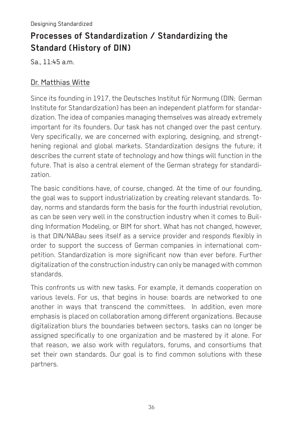# **Processes of Standardization / Standardizing the Standard (History of DIN)**

Sa., 11:45 a.m.

#### Dr. Matthias Witte

Since its founding in 1917, the Deutsches Institut für Normung (DIN; German Institute for Standardization) has been an independent platform for standardization. The idea of companies managing themselves was already extremely important for its founders. Our task has not changed over the past century. Very specifically, we are concerned with exploring, designing, and strengthening regional and global markets. Standardization designs the future; it describes the current state of technology and how things will function in the future. That is also a central element of the German strategy for standardization.

The basic conditions have, of course, changed. At the time of our founding, the goal was to support industrialization by creating relevant standards. Today, norms and standards form the basis for the fourth industrial revolution, as can be seen very well in the construction industry when it comes to Building Information Modeling, or BIM for short. What has not changed, however, is that DIN/NABau sees itself as a service provider and responds flexibly in order to support the success of German companies in international competition. Standardization is more significant now than ever before. Further digitalization of the construction industry can only be managed with common standards.

This confronts us with new tasks. For example, it demands cooperation on various levels. For us, that begins in house: boards are networked to one another in ways that transcend the committees. In addition, even more emphasis is placed on collaboration among different organizations. Because digitalization blurs the boundaries between sectors, tasks can no longer be assigned specifically to one organization and be mastered by it alone. For that reason, we also work with regulators, forums, and consortiums that set their own standards. Our goal is to find common solutions with these partners.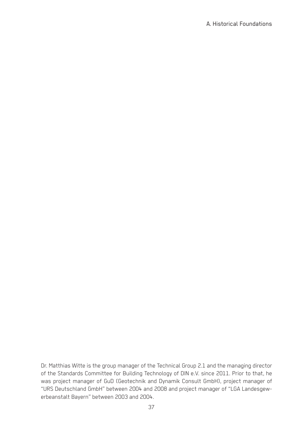Dr. Matthias Witte is the group manager of the Technical Group 2.1 and the managing director of the Standards Committee for Building Technology of DIN e.V. since 2011. Prior to that, he was project manager of GuD (Geotechnik and Dynamik Consult GmbH), project manager of "URS Deutschland GmbH" between 2004 and 2008 and project manager of "LGA Landesgewerbeanstalt Bayern" between 2003 and 2004.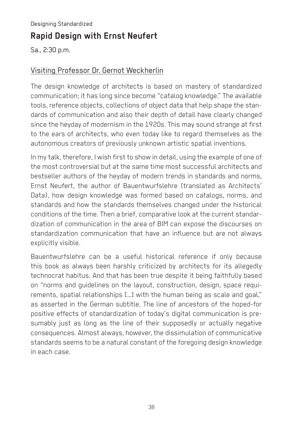#### Designing Standardized

# **Rapid Design with Ernst Neufert**

Sa., 2:30 p.m.

#### Visiting Professor Dr. Gernot Weckherlin

The design knowledge of architects is based on mastery of standardized communication; it has long since become "catalog knowledge." The available tools, reference objects, collections of object data that help shape the standards of communication and also their depth of detail have clearly changed since the heyday of modernism in the 1920s. This may sound strange at first to the ears of architects, who even today like to regard themselves as the autonomous creators of previously unknown artistic spatial inventions.

In my talk, therefore, I wish first to show in detail, using the example of one of the most controversial but at the same time most successful architects and bestseller authors of the heyday of modern trends in standards and norms, Ernst Neufert, the author of Bauentwurfslehre (translated as Architects' Data), how design knowledge was formed based on catalogs, norms, and standards and how the standards themselves changed under the historical conditions of the time. Then a brief, comparative look at the current standardization of communication in the area of BIM can expose the discourses on standardization communication that have an influence but are not always explicitly visible.

Bauentwurfslehre can be a useful historical reference if only because this book as always been harshly criticized by architects for its allegedly technocrat habitus. And that has been true despite it being faithfully based on "norms and guidelines on the layout, construction, design, space requirements, spatial relationships […] with the human being as scale and goal," as asserted in the German subtitle. The line of ancestors of the hoped-for positive effects of standardization of today's digital communication is presumably just as long as the line of their supposedly or actually negative consequences. Almost always, however, the dissimulation of communicative standards seems to be a natural constant of the foregoing design knowledge in each case.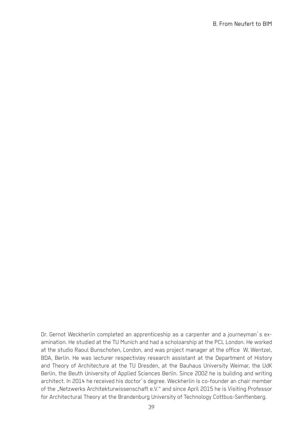Dr. Gernot Weckherlin completed an apprenticeship as a carpenter and a journeyman´s examination. He studied at the TU Munich and had a scholoarship at the PCL London. He worked at the studio Raoul Bunschoten, London, and was project manager at the office W. Wentzel, BDA, Berlin. He was lecturer respectivley research assistant at the Department of History and Theory of Architecture at the TU Dresden, at the Bauhaus University Weimar, the UdK Berlin, the Beuth University of Applied Sciences Berlin. Since 2002 he is building and writing architect. In 2014 he received his doctor´s degree. Weckherlin is co-founder an chair member of the "Netzwerks Architekturwissenschaft e.V." and since April 2015 he is Visiting Professor for Architectural Theory at the Brandenburg University of Technology Cottbus-Senftenberg.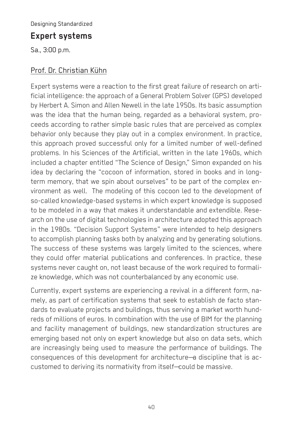#### Designing Standardized

#### **Expert systems**

Sa., 3:00 p.m.

#### Prof. Dr. Christian Kühn

Expert systems were a reaction to the first great failure of research on artificial intelligence: the approach of a General Problem Solver (GPS) developed by Herbert A. Simon and Allen Newell in the late 1950s. Its basic assumption was the idea that the human being, regarded as a behavioral system, proceeds according to rather simple basic rules that are perceived as complex behavior only because they play out in a complex environment. In practice, this approach proved successful only for a limited number of well-defined problems. In his Sciences of the Artificial, written in the late 1960s, which included a chapter entitled "The Science of Design," Simon expanded on his idea by declaring the "cocoon of information, stored in books and in longterm memory, that we spin about ourselves" to be part of the complex environment as well. The modeling of this cocoon led to the development of so-called knowledge-based systems in which expert knowledge is supposed to be modeled in a way that makes it understandable and extendible. Research on the use of digital technologies in architecture adopted this approach in the 1980s. "Decision Support Systems" were intended to help designers to accomplish planning tasks both by analyzing and by generating solutions. The success of these systems was largely limited to the sciences, where they could offer material publications and conferences. In practice, these systems never caught on, not least because of the work required to formalize knowledge, which was not counterbalanced by any economic use.

Currently, expert systems are experiencing a revival in a different form, namely, as part of certification systems that seek to establish de facto standards to evaluate projects and buildings, thus serving a market worth hundreds of millions of euros. In combination with the use of BIM for the planning and facility management of buildings, new standardization structures are emerging based not only on expert knowledge but also on data sets, which are increasingly being used to measure the performance of buildings. The consequences of this development for architecture—a discipline that is accustomed to deriving its normativity from itself—could be massive.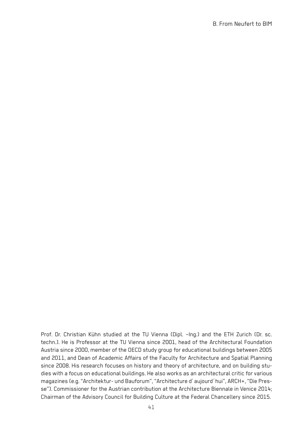Prof. Dr. Christian Kühn studied at the TU Vienna (Dipl. –Ing.) and the ETH Zurich (Dr. sc. techn.). He is Professor at the TU Vienna since 2001, head of the Architectural Foundation Austria since 2000, member of the OECD study group for educational buildings between 2005 and 2011, and Dean of Academic Affairs of the Faculty for Architecture and Spatial Planning since 2008. His research focuses on history and theory of architecture, and on building studies with a focus on educational buildings. He also works as an architectural critic for various magazines (e.g. "Architektur- und Bauforum", "Architecture d`aujourd´hui", ARCH+, "Die Presse"). Commissioner for the Austrian contribution at the Architecture Biennale in Venice 2014; Chairman of the Advisory Council for Building Culture at the Federal Chancellery since 2015.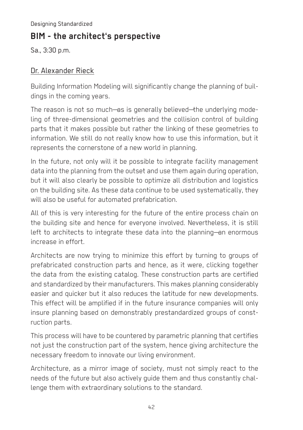Designing Standardized

# **BIM - the architect's perspective**

Sa., 3:30 p.m.

#### Dr. Alexander Rieck

Building Information Modeling will significantly change the planning of buildings in the coming years.

The reason is not so much—as is generally believed—the underlying modeling of three-dimensional geometries and the collision control of building parts that it makes possible but rather the linking of these geometries to information. We still do not really know how to use this information, but it represents the cornerstone of a new world in planning.

In the future, not only will it be possible to integrate facility management data into the planning from the outset and use them again during operation, but it will also clearly be possible to optimize all distribution and logistics on the building site. As these data continue to be used systematically, they will also be useful for automated prefabrication.

All of this is very interesting for the future of the entire process chain on the building site and hence for everyone involved. Nevertheless, it is still left to architects to integrate these data into the planning—an enormous increase in effort.

Architects are now trying to minimize this effort by turning to groups of prefabricated construction parts and hence, as it were, clicking together the data from the existing catalog. These construction parts are certified and standardized by their manufacturers. This makes planning considerably easier and quicker but it also reduces the latitude for new developments. This effect will be amplified if in the future insurance companies will only insure planning based on demonstrably prestandardized groups of construction parts.

This process will have to be countered by parametric planning that certifies not just the construction part of the system, hence giving architecture the necessary freedom to innovate our living environment.

Architecture, as a mirror image of society, must not simply react to the needs of the future but also actively guide them and thus constantly challenge them with extraordinary solutions to the standard.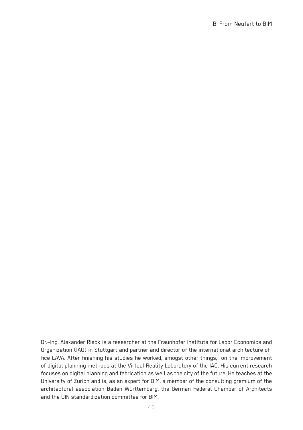Dr.–Ing. Alexander Rieck is a researcher at the Fraunhofer Institute for Labor Economics and Organization (IAO) in Stuttgart and partner and director of the international architecture office LAVA. After finishing his studies he worked, amogst other things, on the improvement of digital planning methods at the Virtual Reality Laboratory of the IAO. His current research focuses on digital planning and fabrication as well as the city of the future. He teaches at the University of Zurich and is, as an expert for BIM, a member of the consulting gremium of the architectural association Baden-Württemberg, the German Federal Chamber of Architects and the DIN standardization committee for BIM.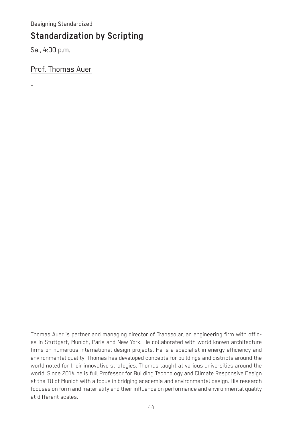Designing Standardized

## **Standardization by Scripting**

Sa., 4:00 p.m.

-

Prof. Thomas Auer

Thomas Auer is partner and managing director of Transsolar, an engineering firm with offices in Stuttgart, Munich, Paris and New York. He collaborated with world known architecture firms on numerous international design projects. He is a specialist in energy efficiency and environmental quality. Thomas has developed concepts for buildings and districts around the world noted for their innovative strategies. Thomas taught at various universities around the world. Since 2014 he is full Professor for Building Technology and Climate Responsive Design at the TU of Munich with a focus in bridging academia and environmental design. His research focuses on form and materiality and their influence on performance and environmental quality at different scales.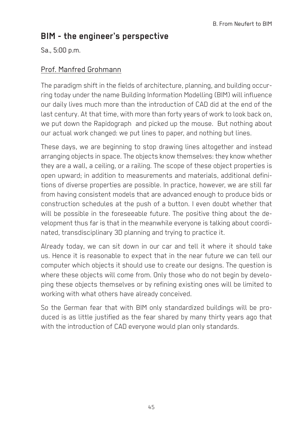# **BIM - the engineer's perspective**

Sa., 5:00 p.m.

#### Prof. Manfred Grohmann

The paradigm shift in the fields of architecture, planning, and building occurring today under the name Building Information Modelling (BIM) will influence our daily lives much more than the introduction of CAD did at the end of the last century. At that time, with more than forty years of work to look back on, we put down the Rapidograph and picked up the mouse. But nothing about our actual work changed: we put lines to paper, and nothing but lines.

These days, we are beginning to stop drawing lines altogether and instead arranging objects in space. The objects know themselves: they know whether they are a wall, a ceiling, or a railing. The scope of these object properties is open upward; in addition to measurements and materials, additional definitions of diverse properties are possible. In practice, however, we are still far from having consistent models that are advanced enough to produce bids or construction schedules at the push of a button. I even doubt whether that will be possible in the foreseeable future. The positive thing about the development thus far is that in the meanwhile everyone is talking about coordinated, transdisciplinary 3D planning and trying to practice it.

Already today, we can sit down in our car and tell it where it should take us. Hence it is reasonable to expect that in the near future we can tell our computer which objects it should use to create our designs. The question is where these objects will come from. Only those who do not begin by developing these objects themselves or by refining existing ones will be limited to working with what others have already conceived.

So the German fear that with BIM only standardized buildings will be produced is as little justified as the fear shared by many thirty years ago that with the introduction of CAD everyone would plan only standards.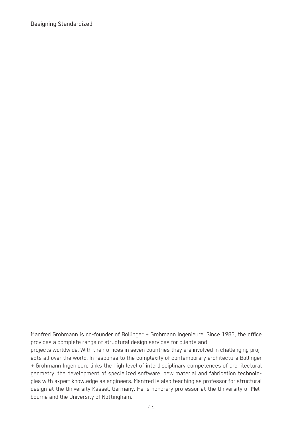Designing Standardized

Manfred Grohmann is co-founder of Bollinger + Grohmann Ingenieure. Since 1983, the office provides a complete range of structural design services for clients and projects worldwide. With their offices in seven countries they are involved in challenging projects all over the world. In response to the complexity of contemporary architecture Bollinger + Grohmann Ingenieure links the high level of interdisciplinary competences of architectural geometry, the development of specialized software, new material and fabrication technologies with expert knowledge as engineers. Manfred is also teaching as professor for structural design at the University Kassel, Germany. He is honorary professor at the University of Melbourne and the University of Nottingham.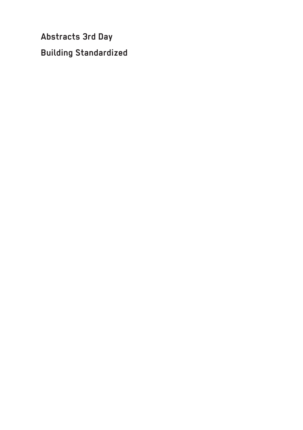**Abstracts 3rd Day Building Standardized**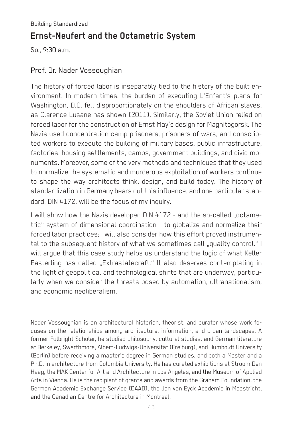# **Ernst-Neufert and the Octametric System**

So., 9:30 a.m.

#### Prof. Dr. Nader Vossoughian

The history of forced labor is inseparably tied to the history of the built environment. In modern times, the burden of executing L'Enfant's plans for Washington, D.C. fell disproportionately on the shoulders of African slaves, as Clarence Lusane has shown (2011). Similarly, the Soviet Union relied on forced labor for the construction of Ernst May's design for Magnitogorsk. The Nazis used concentration camp prisoners, prisoners of wars, and conscripted workers to execute the building of military bases, public infrastructure, factories, housing settlements, camps, government buildings, and civic monuments. Moreover, some of the very methods and techniques that they used to normalize the systematic and murderous exploitation of workers continue to shape the way architects think, design, and build today. The history of standardization in Germany bears out this influence, and one particular standard, DIN 4172, will be the focus of my inquiry.

I will show how the Nazis developed DIN 4172 - and the so-called "octametric" system of dimensional coordination - to globalize and normalize their forced labor practices; I will also consider how this effort proved instrumental to the subsequent history of what we sometimes call ..quality control." I will argue that this case study helps us understand the logic of what Keller Easterling has called "Extrastatecraft." It also deserves contemplating in the light of geopolitical and technological shifts that are underway, particularly when we consider the threats posed by automation, ultranationalism, and economic neoliberalism.

Nader Vossoughian is an architectural historian, theorist, and curator whose work focuses on the relationships among architecture, information, and urban landscapes. A former Fulbright Scholar, he studied philosophy, cultural studies, and German literature at Berkeley, Swarthmore, Albert-Ludwigs-Universität (Freiburg), and Humboldt University (Berlin) before receiving a master's degree in German studies, and both a Master and a Ph.D. in architecture from Columbia University. He has curated exhibitions at Stroom Den Haag, the MAK Center for Art and Architecture in Los Angeles, and the Museum of Applied Arts in Vienna. He is the recipient of grants and awards from the Graham Foundation, the German Academic Exchange Service (DAAD), the Jan van Eyck Academie in Maastricht, and the Canadian Centre for Architecture in Montreal.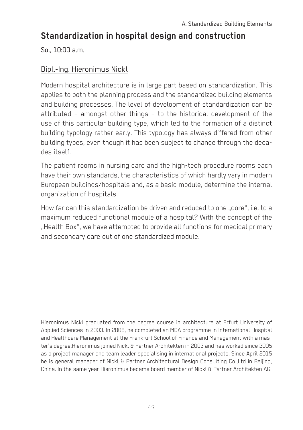# **Standardization in hospital design and construction**

So., 10:00 a.m.

#### Dipl.-Ing. Hieronimus Nickl

Modern hospital architecture is in large part based on standardization. This applies to both the planning process and the standardized building elements and building processes. The level of development of standardization can be attributed – amongst other things – to the historical development of the use of this particular building type, which led to the formation of a distinct building typology rather early. This typology has always differed from other building types, even though it has been subject to change through the decades itself.

The patient rooms in nursing care and the high-tech procedure rooms each have their own standards, the characteristics of which hardly vary in modern European buildings/hospitals and, as a basic module, determine the internal organization of hospitals.

How far can this standardization be driven and reduced to one "core", i.e. to a maximum reduced functional module of a hospital? With the concept of the ..Health Box", we have attempted to provide all functions for medical primary and secondary care out of one standardized module.

Hieronimus Nickl graduated from the degree course in architecture at Erfurt University of Applied Sciences in 2003. In 2008, he completed an MBA programme in International Hospital and Healthcare Management at the Frankfurt School of Finance and Management with a master's degree.Hieronimus joined Nickl & Partner Architekten in 2003 and has worked since 2005 as a project manager and team leader specialising in international projects. Since April 2015 he is general manager of Nickl & Partner Architectural Design Consulting Co.,Ltd in Beijing, China. In the same year Hieronimus became board member of Nickl & Partner Architekten AG.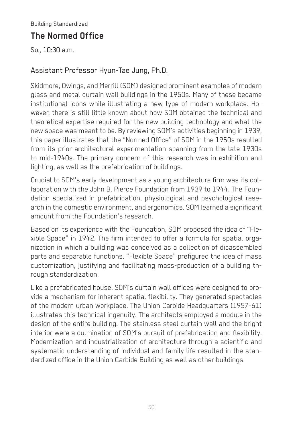# **The Normed Office**

So., 10:30 a.m.

#### Assistant Professor Hyun-Tae Jung, Ph.D.

Skidmore, Owings, and Merrill (SOM) designed prominent examples of modern glass and metal curtain wall buildings in the 1950s. Many of these became institutional icons while illustrating a new type of modern workplace. However, there is still little known about how SOM obtained the technical and theoretical expertise required for the new building technology and what the new space was meant to be. By reviewing SOM's activities beginning in 1939, this paper illustrates that the "Normed Office" of SOM in the 1950s resulted from its prior architectural experimentation spanning from the late 1930s to mid-1940s. The primary concern of this research was in exhibition and lighting, as well as the prefabrication of buildings.

Crucial to SOM's early development as a young architecture firm was its collaboration with the John B. Pierce Foundation from 1939 to 1944. The Foundation specialized in prefabrication, physiological and psychological research in the domestic environment, and ergonomics. SOM learned a significant amount from the Foundation's research.

Based on its experience with the Foundation, SOM proposed the idea of "Flexible Space" in 1942. The firm intended to offer a formula for spatial organization in which a building was conceived as a collection of disassembled parts and separable functions. "Flexible Space" prefigured the idea of mass customization, justifying and facilitating mass-production of a building through standardization.

Like a prefabricated house, SOM's curtain wall offices were designed to provide a mechanism for inherent spatial flexibility. They generated spectacles of the modern urban workplace. The Union Carbide Headquarters (1957-61) illustrates this technical ingenuity. The architects employed a module in the design of the entire building. The stainless steel curtain wall and the bright interior were a culmination of SOM's pursuit of prefabrication and flexibility. Modernization and industrialization of architecture through a scientific and systematic understanding of individual and family life resulted in the standardized office in the Union Carbide Building as well as other buildings.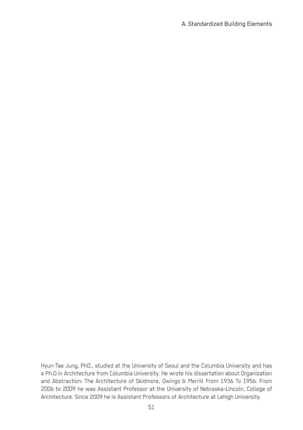Hyun-Tae Jung, PhD., studied at the University of Seoul and the Columbia University and has a Ph.D in Architecture from Columbia University. He wrote his dissertation about Organization and Abstraction: The Architecture of Skidmore, Owings & Merrill From 1936 To 1956. From 2006 to 2009 he was Assistant Professor at the University of Nebraska-Lincoln, College of Architecture. Since 2009 he is Assistant Professors of Architecture at Lehigh University.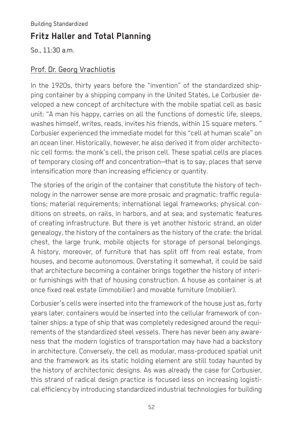Building Standardized

# **Fritz Haller and Total Planning**

So., 11:30 a.m.

#### Prof. Dr. Georg Vrachliotis

In the 1920s, thirty years before the "invention" of the standardized shipping container by a shipping company in the United States, Le Corbusier developed a new concept of architecture with the mobile spatial cell as basic unit: "A man his happy, carries on all the functions of domestic life, sleeps, washes himself, writes, reads, invites his friends, within 15 square meters. " Corbusier experienced the immediate model for this "cell at human scale" on an ocean liner. Historically, however, he also derived it from older architectonic cell forms: the monk's cell, the prison cell. These spatial cells are places of temporary closing off and concentration—that is to say, places that serve intensification more than increasing efficiency or quantity.

The stories of the origin of the container that constitute the history of technology in the narrower sense are more prosaic and pragmatic: traffic regulations; material requirements; international legal frameworks; physical conditions on streets, on rails, in harbors, and at sea; and systematic features of creating infrastructure. But there is yet another historic strand, an older genealogy, the history of the containers as the history of the crate: the bridal chest, the large trunk, mobile objects for storage of personal belongings. A history, moreover, of furniture that has split off from real estate, from houses, and become autonomous. Overstating it somewhat, it could be said that architecture becoming a container brings together the history of interior furnishings with that of housing construction. A house as container is at once fixed real estate (immobilier) and movable furniture (mobilier).

Corbusier's cells were inserted into the framework of the house just as, forty years later, containers would be inserted into the cellular framework of container ships: a type of ship that was completely redesigned around the requirements of the standardized steel vessels. There has never been any awareness that the modern logistics of transportation may have had a backstory in architecture. Conversely, the cell as modular, mass-produced spatial unit and the framework as its static holding element are still today haunted by the history of architectonic designs. As was already the case for Corbusier, this strand of radical design practice is focused less on increasing logistical efficiency by introducing standardized industrial technologies for building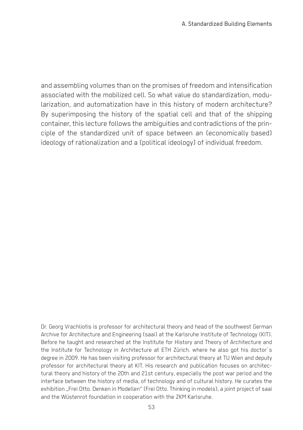and assembling volumes than on the promises of freedom and intensification associated with the mobilized cell. So what value do standardization, modularization, and automatization have in this history of modern architecture? By superimposing the history of the spatial cell and that of the shipping container, this lecture follows the ambiguities and contradictions of the principle of the standardized unit of space between an (economically based) ideology of rationalization and a (political ideology) of individual freedom.

Dr. Georg Vrachliotis is professor for architectural theory and head of the southwest German Archive for Architecture and Engineering (saai) at the Karlsruhe Institute of Technology (KIT). Before he taught and researched at the Institute for History and Theory of Architecture and the Institute for Technology in Architecture at ETH Zürich. where he also got his doctor´s degree in 2009. He has been visiting professor for architectural theory at TU Wien and deputy professor for architectural theory at KIT. His research and publication focuses on architectural theory and history of the 20th and 21st century, especially the post war period and the interface between the history of media, of technology and of cultural history. He curates the exhibition "Frei Otto. Denken in Modellen" (Frei Otto. Thinking in models), a joint project of saai and the Wüstenrot foundation in cooperation with the ZKM Karlsruhe.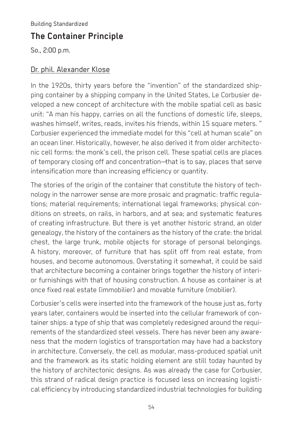Building Standardized

# **The Container Principle**

So., 2:00 p.m.

#### Dr. phil. Alexander Klose

In the 1920s, thirty years before the "invention" of the standardized shipping container by a shipping company in the United States, Le Corbusier developed a new concept of architecture with the mobile spatial cell as basic unit: "A man his happy, carries on all the functions of domestic life, sleeps, washes himself, writes, reads, invites his friends, within 15 square meters. " Corbusier experienced the immediate model for this "cell at human scale" on an ocean liner. Historically, however, he also derived it from older architectonic cell forms: the monk's cell, the prison cell. These spatial cells are places of temporary closing off and concentration—that is to say, places that serve intensification more than increasing efficiency or quantity.

The stories of the origin of the container that constitute the history of technology in the narrower sense are more prosaic and pragmatic: traffic regulations; material requirements; international legal frameworks; physical conditions on streets, on rails, in harbors, and at sea; and systematic features of creating infrastructure. But there is yet another historic strand, an older genealogy, the history of the containers as the history of the crate: the bridal chest, the large trunk, mobile objects for storage of personal belongings. A history, moreover, of furniture that has split off from real estate, from houses, and become autonomous. Overstating it somewhat, it could be said that architecture becoming a container brings together the history of interior furnishings with that of housing construction. A house as container is at once fixed real estate (immobilier) and movable furniture (mobilier).

Corbusier's cells were inserted into the framework of the house just as, forty years later, containers would be inserted into the cellular framework of container ships: a type of ship that was completely redesigned around the requirements of the standardized steel vessels. There has never been any awareness that the modern logistics of transportation may have had a backstory in architecture. Conversely, the cell as modular, mass-produced spatial unit and the framework as its static holding element are still today haunted by the history of architectonic designs. As was already the case for Corbusier, this strand of radical design practice is focused less on increasing logistical efficiency by introducing standardized industrial technologies for building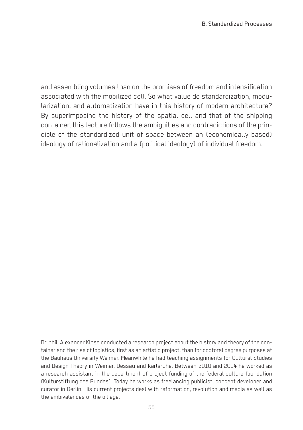and assembling volumes than on the promises of freedom and intensification associated with the mobilized cell. So what value do standardization, modularization, and automatization have in this history of modern architecture? By superimposing the history of the spatial cell and that of the shipping container, this lecture follows the ambiguities and contradictions of the principle of the standardized unit of space between an (economically based) ideology of rationalization and a (political ideology) of individual freedom.

Dr. phil. Alexander Klose conducted a research project about the history and theory of the container and the rise of logistics, first as an artistic project, than for doctoral degree purposes at the Bauhaus University Weimar. Meanwhile he had teaching assignments for Cultural Studies and Design Theory in Weimar, Dessau and Karlsruhe. Between 2010 and 2014 he worked as a research assistant in the department of project funding of the federal culture foundation (Kulturstiftung des Bundes). Today he works as freelancing publicist, concept developer and curator in Berlin. His current projects deal with reformation, revolution and media as well as the ambivalences of the oil age.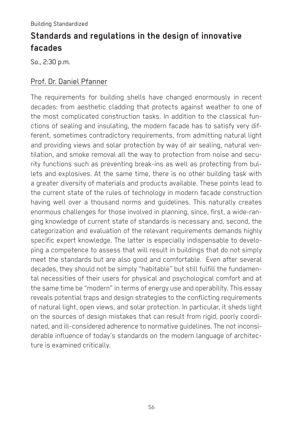# **Standards and regulations in the design of innovative facades**

So., 2:30 p.m.

#### Prof. Dr. Daniel Pfanner

The requirements for building shells have changed enormously in recent decades: from aesthetic cladding that protects against weather to one of the most complicated construction tasks. In addition to the classical functions of sealing and insulating, the modern facade has to satisfy very different, sometimes contradictory requirements, from admitting natural light and providing views and solar protection by way of air sealing, natural ventilation, and smoke removal all the way to protection from noise and security functions such as preventing break-ins as well as protecting from bullets and explosives. At the same time, there is no other building task with a greater diversity of materials and products available. These points lead to the current state of the rules of technology in modern facade construction having well over a thousand norms and guidelines. This naturally creates enormous challenges for those involved in planning, since, first, a wide-ranging knowledge of current state of standards is necessary and, second, the categorization and evaluation of the relevant requirements demands highly specific expert knowledge. The latter is especially indispensable to developing a competence to assess that will result in buildings that do not simply meet the standards but are also good and comfortable. Even after several decades, they should not be simply "habitable" but still fulfill the fundamental necessities of their users for physical and psychological comfort and at the same time be "modern" in terms of energy use and operability. This essay reveals potential traps and design strategies to the conflicting requirements of natural light, open views, and solar protection. In particular, it sheds light on the sources of design mistakes that can result from rigid, poorly coordinated, and ill-considered adherence to normative guidelines. The not inconsiderable influence of today's standards on the modern language of architecture is examined critically.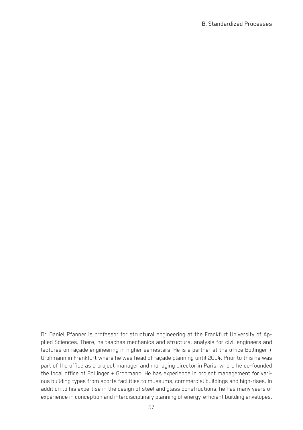Dr. Daniel Pfanner is professor for structural engineering at the Frankfurt University of Applied Sciences. There, he teaches mechanics and structural analysis for civil engineers and lectures on façade engineering in higher semesters. He is a partner at the office Bollinger + Grohmann in Frankfurt where he was head of façade planning until 2014. Prior to this he was part of the office as a project manager and managing director in Paris, where he co-founded the local office of Bollinger + Grohmann. He has experience in project management for various building types from sports facilities to museums, commercial buildings and high-rises. In addition to his expertise in the design of steel and glass constructions, he has many years of experience in conception and interdisciplinary planning of energy-efficient building envelopes.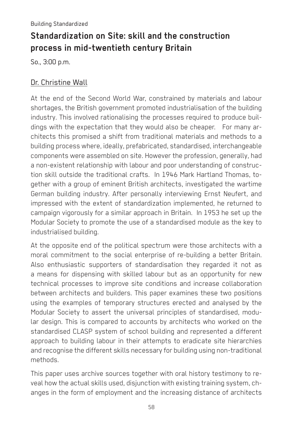# **Standardization on Site: skill and the construction process in mid-twentieth century Britain**

So., 3:00 p.m.

#### Dr. Christine Wall

At the end of the Second World War, constrained by materials and labour shortages, the British government promoted industrialisation of the building industry. This involved rationalising the processes required to produce buildings with the expectation that they would also be cheaper. For many architects this promised a shift from traditional materials and methods to a building process where, ideally, prefabricated, standardised, interchangeable components were assembled on site. However the profession, generally, had a non-existent relationship with labour and poor understanding of construction skill outside the traditional crafts. In 1946 Mark Hartland Thomas, together with a group of eminent British architects, investigated the wartime German building industry. After personally interviewing Ernst Neufert, and impressed with the extent of standardization implemented, he returned to campaign vigorously for a similar approach in Britain. In 1953 he set up the Modular Society to promote the use of a standardised module as the key to industrialised building.

At the opposite end of the political spectrum were those architects with a moral commitment to the social enterprise of re-building a better Britain. Also enthusiastic supporters of standardisation they regarded it not as a means for dispensing with skilled labour but as an opportunity for new technical processes to improve site conditions and increase collaboration between architects and builders. This paper examines these two positions using the examples of temporary structures erected and analysed by the Modular Society to assert the universal principles of standardised, modular design. This is compared to accounts by architects who worked on the standardised CLASP system of school building and represented a different approach to building labour in their attempts to eradicate site hierarchies and recognise the different skills necessary for building using non-traditional methods.

This paper uses archive sources together with oral history testimony to reveal how the actual skills used, disjunction with existing training system, changes in the form of employment and the increasing distance of architects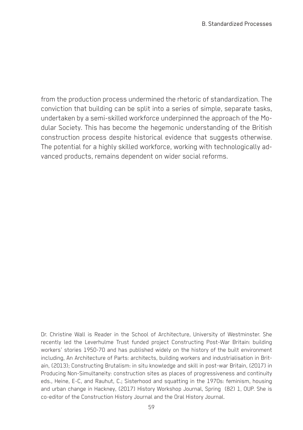from the production process undermined the rhetoric of standardization. The conviction that building can be split into a series of simple, separate tasks, undertaken by a semi-skilled workforce underpinned the approach of the Modular Society. This has become the hegemonic understanding of the British construction process despite historical evidence that suggests otherwise. The potential for a highly skilled workforce, working with technologically advanced products, remains dependent on wider social reforms.

Dr. Christine Wall is Reader in the School of Architecture, University of Westminster. She recently led the Leverhulme Trust funded project Constructing Post-War Britain: building workers' stories 1950-70 and has published widely on the history of the built environment including, An Architecture of Parts: architects, building workers and industrialisation in Britain, (2013); Constructing Brutalism: in situ knowledge and skill in post-war Britain, (2017) in Producing Non-Simultaneity: construction sites as places of progressiveness and continuity eds., Heine, E-C, and Rauhut, C.; Sisterhood and squatting in the 1970s: feminism, housing and urban change in Hackney, (2017) History Workshop Journal, Spring (82) 1, OUP. She is co-editor of the Construction History Journal and the Oral History Journal.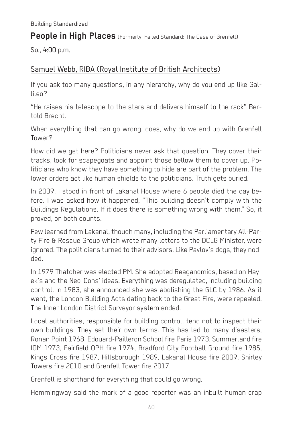#### **People in High Places** (Formerly: Failed Standard: The Case of Grenfell)

So., 4:00 p.m.

#### Samuel Webb, RIBA (Royal Institute of British Architects)

If you ask too many questions, in any hierarchy, why do you end up like Gallileo?

"He raises his telescope to the stars and delivers himself to the rack" Bertold Brecht.

When everything that can go wrong, does, why do we end up with Grenfell Tower?

How did we get here? Politicians never ask that question. They cover their tracks, look for scapegoats and appoint those bellow them to cover up. Politicians who know they have something to hide are part of the problem. The lower orders act like human shields to the politicians. Truth gets buried.

In 2009, I stood in front of Lakanal House where 6 people died the day before. I was asked how it happened, "This building doesn't comply with the Buildings Regulations. If it does there is something wrong with them." So, it proved, on both counts.

Few learned from Lakanal, though many, including the Parliamentary All-Party Fire & Rescue Group which wrote many letters to the DCLG Minister, were ignored. The politicians turned to their advisors. Like Pavlov's dogs, they nodded.

In 1979 Thatcher was elected PM. She adopted Reaganomics, based on Hayek's and the Neo-Cons' ideas. Everything was deregulated, including building control. In 1983, she announced she was abolishing the GLC by 1986. As it went, the London Building Acts dating back to the Great Fire, were repealed. The Inner London District Surveyor system ended.

Local authorities, responsible for building control, tend not to inspect their own buildings. They set their own terms. This has led to many disasters, Ronan Point 1968, Edouard-Pailleron School fire Paris 1973, Summerland fire IOM 1973, Fairfield OPH fire 1974, Bradford City Football Ground fire 1985, Kings Cross fire 1987, Hillsborough 1989, Lakanal House fire 2009, Shirley Towers fire 2010 and Grenfell Tower fire 2017.

Grenfell is shorthand for everything that could go wrong.

Hemmingway said the mark of a good reporter was an inbuilt human crap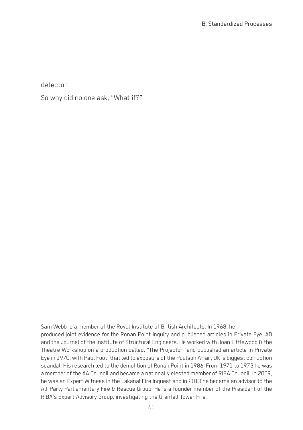detector.

So why did no one ask, "What if?"

Sam Webb is a member of the Royal Institute of British Architects. In 1968, he produced joint evidence for the Ronan Point Inquiry and published articles in Private Eye, AD and the Journal of the Institute of Structural Engineers. He worked with Joan Littlewood & the Theatre Workshop on a production called, "The Projector "and published an article in Private Eye in 1970, with Paul Foot, that led to exposure of the Poulson Affair, UK´s biggest corruption scandal. His research led to the demolition of Ronan Point in 1986. From 1971 to 1973 he was a member of the AA Council and became a nationally elected member of RIBA Council. In 2009, he was an Expert Witness in the Lakanal Fire Inquest and in 2013 he became an advisor to the All-Party Parliamentary Fire & Rescue Group. He is a founder member of the President of the RIBA's Expert Advisory Group, investigating the Grenfell Tower Fire.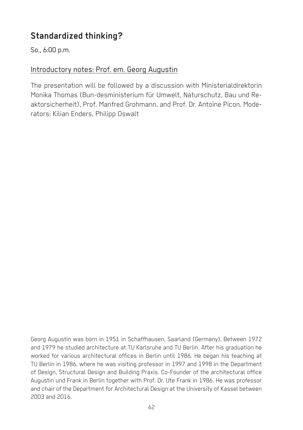# **Standardized thinking?**

So., 6:00 p.m.

#### Introductory notes: Prof. em. Georg Augustin

The presentation will be followed by a discussion with Ministerialdirektorin Monika Thomas (Bun-desministerium für Umwelt, Naturschutz, Bau und Reaktorsicherheit), Prof. Manfred Grohmann, and Prof. Dr. Antoine Picon. Moderators: Kilian Enders, Philipp Oswalt

Georg Augustin was born in 1951 in Schaffhausen, Saarland (Germany). Between 1972 and 1979 he studied architecture at TU Karlsruhe and TU Berlin. After his graduation he worked for various architectural offices in Berlin until 1986. He began his teaching at TU Berlin in 1986, where he was visiting professor in 1997 and 1998 in the Department of Design, Structural Design and Building Praxis. Co-Founder of the architectural office Augustin und Frank in Berlin together with Prof. Dr. Ute Frank in 1986. He was professor and chair of the Department for Architectural Design at the University of Kassel between 2003 and 2016.